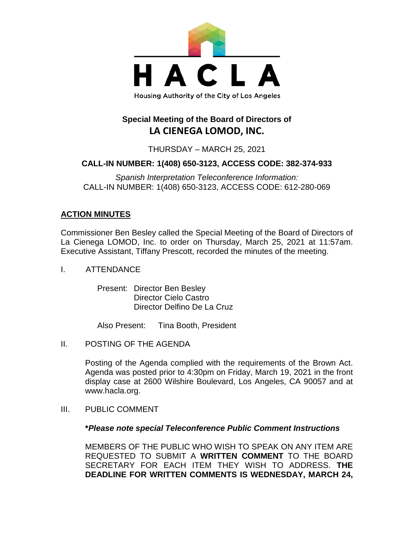

# **Special Meeting of the Board of Directors of LA CIENEGA LOMOD, INC.**

THURSDAY – MARCH 25, 2021

## **CALL-IN NUMBER: 1(408) 650-3123, ACCESS CODE: 382-374-933**

*Spanish Interpretation Teleconference Information:* CALL-IN NUMBER: 1(408) 650-3123, ACCESS CODE: 612-280-069

## **ACTION MINUTES**

Commissioner Ben Besley called the Special Meeting of the Board of Directors of La Cienega LOMOD, Inc. to order on Thursday, March 25, 2021 at 11:57am. Executive Assistant, Tiffany Prescott, recorded the minutes of the meeting.

I. ATTENDANCE

Present: Director Ben Besley Director Cielo Castro Director Delfino De La Cruz

Also Present: Tina Booth, President

II. POSTING OF THE AGENDA

Posting of the Agenda complied with the requirements of the Brown Act. Agenda was posted prior to 4:30pm on Friday, March 19, 2021 in the front display case at 2600 Wilshire Boulevard, Los Angeles, CA 90057 and at www.hacla.org.

III. PUBLIC COMMENT

### **\****Please note special Teleconference Public Comment Instructions*

MEMBERS OF THE PUBLIC WHO WISH TO SPEAK ON ANY ITEM ARE REQUESTED TO SUBMIT A **WRITTEN COMMENT** TO THE BOARD SECRETARY FOR EACH ITEM THEY WISH TO ADDRESS. **THE DEADLINE FOR WRITTEN COMMENTS IS WEDNESDAY, MARCH 24,**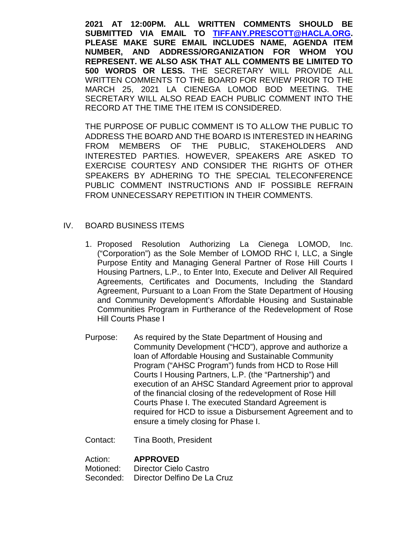**2021 AT 12:00PM. ALL WRITTEN COMMENTS SHOULD BE SUBMITTED VIA EMAIL TO [TIFFANY.PRESCOTT@HACLA.ORG.](mailto:TIFFANY.PRESCOTT@HACLA.ORG) PLEASE MAKE SURE EMAIL INCLUDES NAME, AGENDA ITEM NUMBER, AND ADDRESS/ORGANIZATION FOR WHOM YOU REPRESENT. WE ALSO ASK THAT ALL COMMENTS BE LIMITED TO 500 WORDS OR LESS.** THE SECRETARY WILL PROVIDE ALL WRITTEN COMMENTS TO THE BOARD FOR REVIEW PRIOR TO THE MARCH 25, 2021 LA CIENEGA LOMOD BOD MEETING. THE SECRETARY WILL ALSO READ EACH PUBLIC COMMENT INTO THE RECORD AT THE TIME THE ITEM IS CONSIDERED.

THE PURPOSE OF PUBLIC COMMENT IS TO ALLOW THE PUBLIC TO ADDRESS THE BOARD AND THE BOARD IS INTERESTED IN HEARING FROM MEMBERS OF THE PUBLIC, STAKEHOLDERS AND INTERESTED PARTIES. HOWEVER, SPEAKERS ARE ASKED TO EXERCISE COURTESY AND CONSIDER THE RIGHTS OF OTHER SPEAKERS BY ADHERING TO THE SPECIAL TELECONFERENCE PUBLIC COMMENT INSTRUCTIONS AND IF POSSIBLE REFRAIN FROM UNNECESSARY REPETITION IN THEIR COMMENTS.

### IV. BOARD BUSINESS ITEMS

- 1. Proposed Resolution Authorizing La Cienega LOMOD, Inc. ("Corporation") as the Sole Member of LOMOD RHC I, LLC, a Single Purpose Entity and Managing General Partner of Rose Hill Courts I Housing Partners, L.P., to Enter Into, Execute and Deliver All Required Agreements, Certificates and Documents, Including the Standard Agreement, Pursuant to a Loan From the State Department of Housing and Community Development's Affordable Housing and Sustainable Communities Program in Furtherance of the Redevelopment of Rose Hill Courts Phase I
- Purpose: As required by the State Department of Housing and Community Development ("HCD"), approve and authorize a loan of Affordable Housing and Sustainable Community Program ("AHSC Program") funds from HCD to Rose Hill Courts I Housing Partners, L.P. (the "Partnership") and execution of an AHSC Standard Agreement prior to approval of the financial closing of the redevelopment of Rose Hill Courts Phase I. The executed Standard Agreement is required for HCD to issue a Disbursement Agreement and to ensure a timely closing for Phase I.

Contact: Tina Booth, President

Action: **APPROVED** Motioned: Director Cielo Castro Seconded: Director Delfino De La Cruz